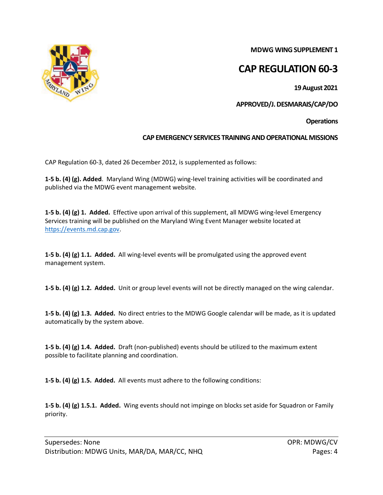**MDWG WING SUPPLEMENT 1**

## **CAP REGULATION 60-3**

**19 August 2021**

**APPROVED/J. DESMARAIS/CAP/DO**

**Operations**

## **CAP EMERGENCY SERVICES TRAINING AND OPERATIONAL MISSIONS**

CAP Regulation 60-3, dated 26 December 2012, is supplemented as follows:

**1-5 b. (4) (g). Added**. Maryland Wing (MDWG) wing-level training activities will be coordinated and published via the MDWG event management website.

**1-5 b. (4) (g) 1. Added.** Effective upon arrival of this supplement, all MDWG wing-level Emergency Services training will be published on the Maryland Wing Event Manager website located at [https://events.md.cap.gov.](https://events.md.cap.gov/)

**1-5 b. (4) (g) 1.1. Added.** All wing-level events will be promulgated using the approved event management system.

**1-5 b. (4) (g) 1.2. Added.** Unit or group level events will not be directly managed on the wing calendar.

**1-5 b. (4) (g) 1.3. Added.** No direct entries to the MDWG Google calendar will be made, as it is updated automatically by the system above.

**1-5 b. (4) (g) 1.4. Added.** Draft (non-published) events should be utilized to the maximum extent possible to facilitate planning and coordination.

**1-5 b. (4) (g) 1.5. Added.** All events must adhere to the following conditions:

**1-5 b. (4) (g) 1.5.1. Added.** Wing events should not impinge on blocks set aside for Squadron or Family priority.

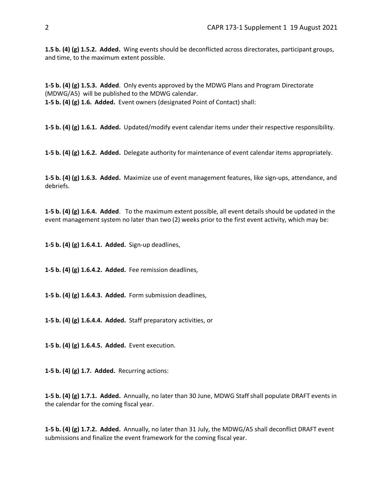**1.5 b. (4) (g) 1.5.2. Added.** Wing events should be deconflicted across directorates, participant groups, and time, to the maximum extent possible.

**1-5 b. (4) (g) 1.5.3. Added**. Only events approved by the MDWG Plans and Program Directorate (MDWG/A5) will be published to the MDWG calendar. **1-5 b. (4) (g) 1.6. Added.** Event owners (designated Point of Contact) shall:

**1-5 b. (4) (g) 1.6.1. Added.** Updated/modify event calendar items under their respective responsibility.

**1-5 b. (4) (g) 1.6.2. Added.** Delegate authority for maintenance of event calendar items appropriately.

**1-5 b. (4) (g) 1.6.3. Added.** Maximize use of event management features, like sign-ups, attendance, and debriefs.

**1-5 b. (4) (g) 1.6.4. Added**. To the maximum extent possible, all event details should be updated in the event management system no later than two (2) weeks prior to the first event activity, which may be:

**1-5 b. (4) (g) 1.6.4.1. Added.** Sign-up deadlines,

**1-5 b. (4) (g) 1.6.4.2. Added.** Fee remission deadlines,

**1-5 b. (4) (g) 1.6.4.3. Added.** Form submission deadlines,

**1-5 b. (4) (g) 1.6.4.4. Added.** Staff preparatory activities, or

**1-5 b. (4) (g) 1.6.4.5. Added.** Event execution.

**1-5 b. (4) (g) 1.7. Added.** Recurring actions:

**1-5 b. (4) (g) 1.7.1. Added.** Annually, no later than 30 June, MDWG Staff shall populate DRAFT events in the calendar for the coming fiscal year.

**1-5 b. (4) (g) 1.7.2. Added.** Annually, no later than 31 July, the MDWG/A5 shall deconflict DRAFT event submissions and finalize the event framework for the coming fiscal year.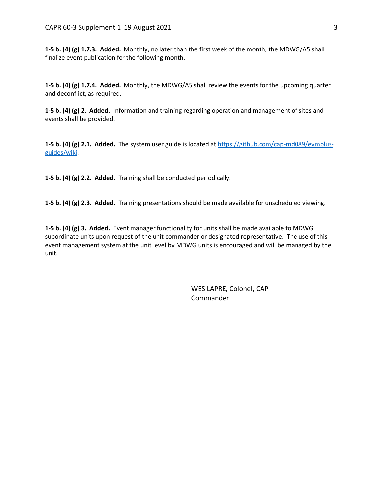**1-5 b. (4) (g) 1.7.3. Added.** Monthly, no later than the first week of the month, the MDWG/A5 shall finalize event publication for the following month.

**1-5 b. (4) (g) 1.7.4. Added.** Monthly, the MDWG/A5 shall review the events for the upcoming quarter and deconflict, as required.

**1-5 b. (4) (g) 2. Added.** Information and training regarding operation and management of sites and events shall be provided.

**1-5 b. (4) (g) 2.1. Added.** The system user guide is located at [https://github.com/cap-md089/evmplus](https://github.com/cap-md089/evmplus-guides/wiki)[guides/wiki.](https://github.com/cap-md089/evmplus-guides/wiki)

**1-5 b. (4) (g) 2.2. Added.** Training shall be conducted periodically.

**1-5 b. (4) (g) 2.3. Added.** Training presentations should be made available for unscheduled viewing.

**1-5 b. (4) (g) 3. Added.** Event manager functionality for units shall be made available to MDWG subordinate units upon request of the unit commander or designated representative. The use of this event management system at the unit level by MDWG units is encouraged and will be managed by the unit.

> WES LAPRE, Colonel, CAP Commander